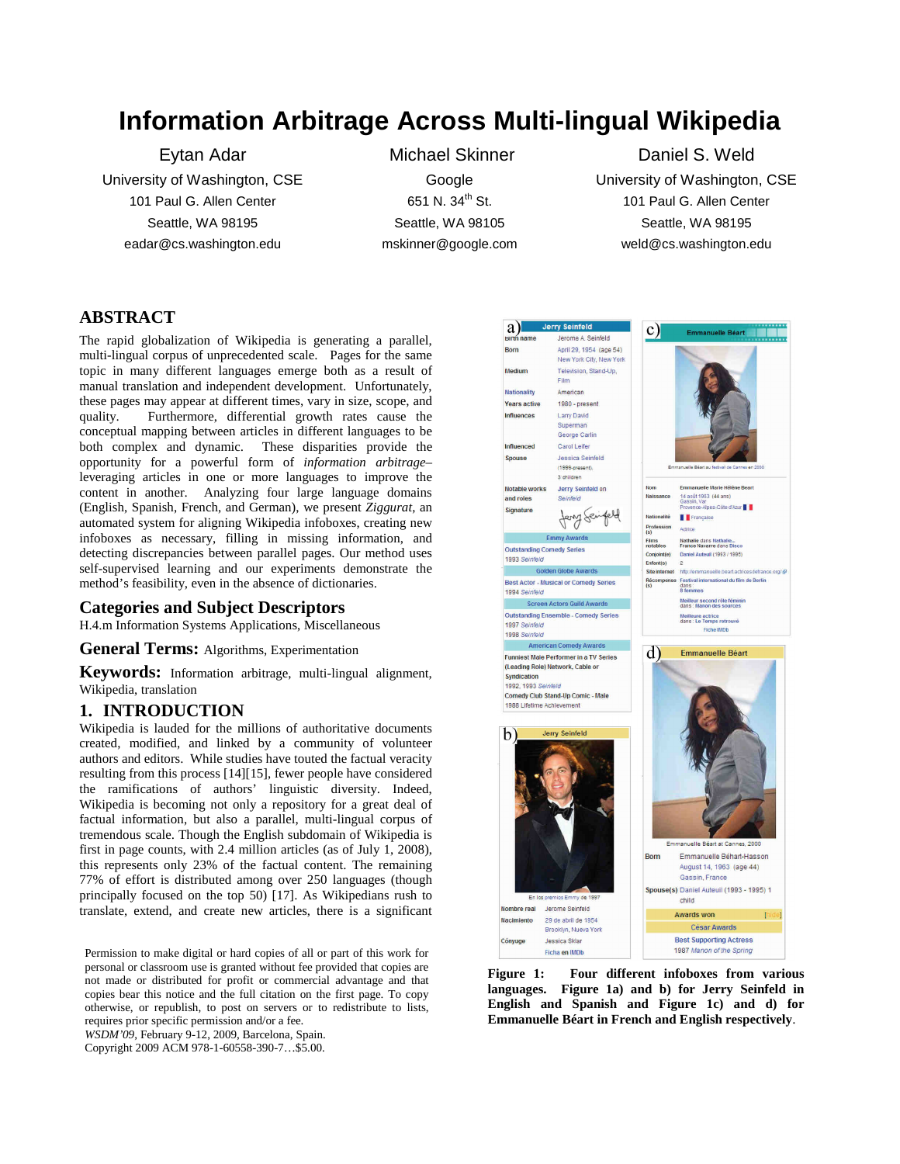# **Information Arbitrage Across Multi-lingual Wikipedia**

Eytan Adar University of Washington, CSE 101 Paul G. Allen Center Seattle, WA 98195 eadar@cs.washington.edu

 Michael Skinner **Google** 651 N. 34<sup>th</sup> St. Seattle, WA 98105

mskinner@google.com

Daniel S. Weld University of Washington, CSE 101 Paul G. Allen Center Seattle, WA 98195 weld@cs.washington.edu

# **ABSTRACT**

The rapid globalization of Wikipedia is generating a parallel, multi-lingual corpus of unprecedented scale. Pages for the same topic in many different languages emerge both as a result of manual translation and independent development. Unfortunately, these pages may appear at different times, vary in size, scope, and quality. Furthermore, differential growth rates cause the conceptual mapping between articles in different languages to be both complex and dynamic. These disparities provide the opportunity for a powerful form of *information arbitrage*– leveraging articles in one or more languages to improve the content in another. Analyzing four large language domains (English, Spanish, French, and German), we present *Ziggurat*, an automated system for aligning Wikipedia infoboxes, creating new infoboxes as necessary, filling in missing information, and detecting discrepancies between parallel pages. Our method uses self-supervised learning and our experiments demonstrate the method's feasibility, even in the absence of dictionaries.

#### **Categories and Subject Descriptors**

H.4.m Information Systems Applications, Miscellaneous

**General Terms:** Algorithms, Experimentation

**Keywords:** Information arbitrage, multi-lingual alignment, Wikipedia, translation

#### **1. INTRODUCTION**

Wikipedia is lauded for the millions of authoritative documents created, modified, and linked by a community of volunteer authors and editors. While studies have touted the factual veracity resulting from this process [14][15], fewer people have considered the ramifications of authors' linguistic diversity. Indeed, Wikipedia is becoming not only a repository for a great deal of factual information, but also a parallel, multi-lingual corpus of tremendous scale. Though the English subdomain of Wikipedia is first in page counts, with 2.4 million articles (as of July 1, 2008), this represents only 23% of the factual content. The remaining 77% of effort is distributed among over 250 languages (though principally focused on the top 50) [17]. As Wikipedians rush to translate, extend, and create new articles, there is a significant

Permission to make digital or hard copies of all or part of this work for personal or classroom use is granted without fee provided that copies are not made or distributed for profit or commercial advantage and that copies bear this notice and the full citation on the first page. To copy otherwise, or republish, to post on servers or to redistribute to lists, requires prior specific permission and/or a fee.

*WSDM'09*, February 9-12, 2009, Barcelona, Spain.

Copyright 2009 ACM 978-1-60558-390-7…\$5.00.



**Figure 1: Four different infoboxes from various languages. Figure 1a) and b) for Jerry Seinfeld in English and Spanish and Figure 1c) and d) for Emmanuelle Béart in French and English respectively**.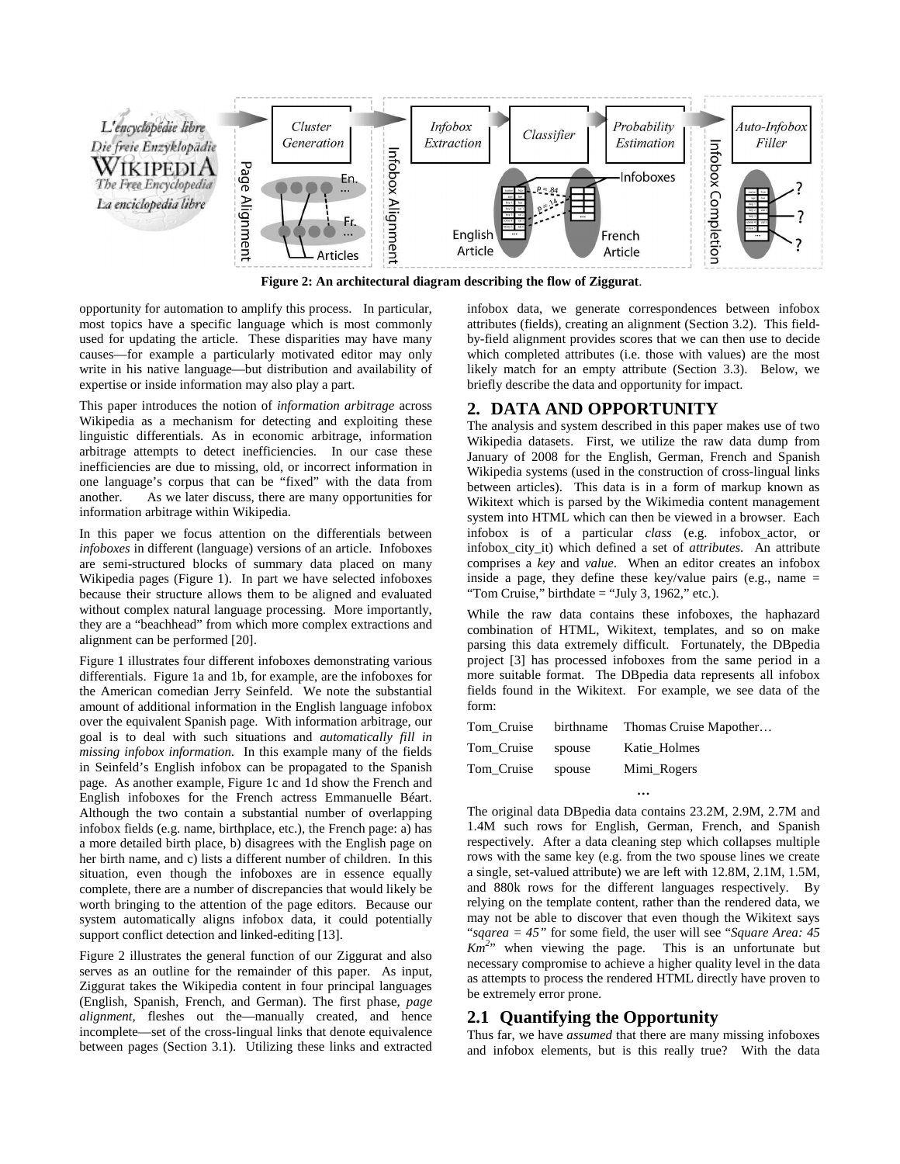

**Figure 2: An architectural diagram describing the flow of Ziggurat**.

opportunity for automation to amplify this process. In particular, most topics have a specific language which is most commonly used for updating the article. These disparities may have many causes—for example a particularly motivated editor may only write in his native language—but distribution and availability of expertise or inside information may also play a part.

This paper introduces the notion of *information arbitrage* across Wikipedia as a mechanism for detecting and exploiting these linguistic differentials. As in economic arbitrage, information arbitrage attempts to detect inefficiencies. In our case these inefficiencies are due to missing, old, or incorrect information in one language's corpus that can be "fixed" with the data from another. As we later discuss, there are many opportunities for information arbitrage within Wikipedia.

In this paper we focus attention on the differentials between *infoboxes* in different (language) versions of an article. Infoboxes are semi-structured blocks of summary data placed on many Wikipedia pages (Figure 1). In part we have selected infoboxes because their structure allows them to be aligned and evaluated without complex natural language processing. More importantly, they are a "beachhead" from which more complex extractions and alignment can be performed [20].

Figure 1 illustrates four different infoboxes demonstrating various differentials. Figure 1a and 1b, for example, are the infoboxes for the American comedian Jerry Seinfeld. We note the substantial amount of additional information in the English language infobox over the equivalent Spanish page. With information arbitrage, our goal is to deal with such situations and *automatically fill in missing infobox information*. In this example many of the fields in Seinfeld's English infobox can be propagated to the Spanish page. As another example, Figure 1c and 1d show the French and English infoboxes for the French actress Emmanuelle Béart. Although the two contain a substantial number of overlapping infobox fields (e.g. name, birthplace, etc.), the French page: a) has a more detailed birth place, b) disagrees with the English page on her birth name, and c) lists a different number of children. In this situation, even though the infoboxes are in essence equally complete, there are a number of discrepancies that would likely be worth bringing to the attention of the page editors. Because our system automatically aligns infobox data, it could potentially support conflict detection and linked-editing [13].

Figure 2 illustrates the general function of our Ziggurat and also serves as an outline for the remainder of this paper. As input, Ziggurat takes the Wikipedia content in four principal languages (English, Spanish, French, and German). The first phase, *page alignment,* fleshes out the—manually created, and hence incomplete—set of the cross-lingual links that denote equivalence between pages (Section 3.1). Utilizing these links and extracted infobox data, we generate correspondences between infobox attributes (fields), creating an alignment (Section 3.2). This fieldby-field alignment provides scores that we can then use to decide which completed attributes (i.e. those with values) are the most likely match for an empty attribute (Section 3.3). Below, we briefly describe the data and opportunity for impact.

# **2. DATA AND OPPORTUNITY**

The analysis and system described in this paper makes use of two Wikipedia datasets. First, we utilize the raw data dump from January of 2008 for the English, German, French and Spanish Wikipedia systems (used in the construction of cross-lingual links between articles). This data is in a form of markup known as Wikitext which is parsed by the Wikimedia content management system into HTML which can then be viewed in a browser. Each infobox is of a particular *class* (e.g. infobox\_actor, or infobox\_city\_it) which defined a set of *attributes*. An attribute comprises a *key* and *value*. When an editor creates an infobox inside a page, they define these key/value pairs (e.g., name  $=$ "Tom Cruise," birthdate  $=$  "July 3, 1962," etc.).

While the raw data contains these infoboxes, the haphazard combination of HTML, Wikitext, templates, and so on make parsing this data extremely difficult. Fortunately, the DBpedia project [3] has processed infoboxes from the same period in a more suitable format. The DBpedia data represents all infobox fields found in the Wikitext. For example, we see data of the form:

|                   | Tom Cruise birthname Thomas Cruise Mapother |
|-------------------|---------------------------------------------|
| Tom Cruise spouse | Katie Holmes                                |
| Tom Cruise spouse | Mimi_Rogers                                 |

The original data DBpedia data contains 23.2M, 2.9M, 2.7M and 1.4M such rows for English, German, French, and Spanish respectively. After a data cleaning step which collapses multiple rows with the same key (e.g. from the two spouse lines we create a single, set-valued attribute) we are left with 12.8M, 2.1M, 1.5M, and 880k rows for the different languages respectively. By relying on the template content, rather than the rendered data, we may not be able to discover that even though the Wikitext says "*sqarea = 45"* for some field, the user will see "*Square Area: 45 Km<sup>2</sup>* " when viewing the page. This is an unfortunate but necessary compromise to achieve a higher quality level in the data as attempts to process the rendered HTML directly have proven to be extremely error prone.

**…** 

# **2.1 Quantifying the Opportunity**

Thus far, we have *assumed* that there are many missing infoboxes and infobox elements, but is this really true? With the data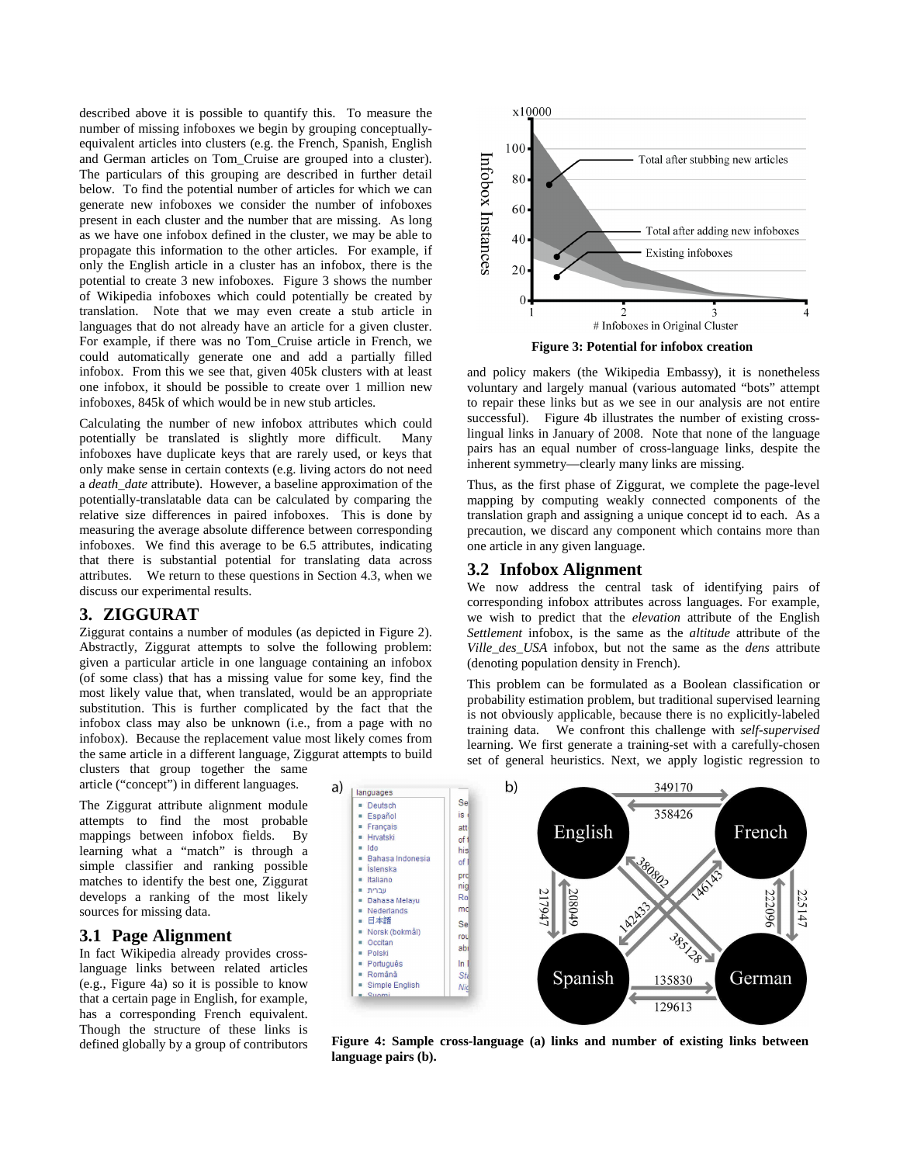described above it is possible to quantify this. To measure the number of missing infoboxes we begin by grouping conceptuallyequivalent articles into clusters (e.g. the French, Spanish, English and German articles on Tom\_Cruise are grouped into a cluster). The particulars of this grouping are described in further detail below. To find the potential number of articles for which we can generate new infoboxes we consider the number of infoboxes present in each cluster and the number that are missing. As long as we have one infobox defined in the cluster, we may be able to propagate this information to the other articles. For example, if only the English article in a cluster has an infobox, there is the potential to create 3 new infoboxes. Figure 3 shows the number of Wikipedia infoboxes which could potentially be created by translation. Note that we may even create a stub article in languages that do not already have an article for a given cluster. For example, if there was no Tom\_Cruise article in French, we could automatically generate one and add a partially filled infobox. From this we see that, given 405k clusters with at least one infobox, it should be possible to create over 1 million new infoboxes, 845k of which would be in new stub articles.

Calculating the number of new infobox attributes which could potentially be translated is slightly more difficult. Many infoboxes have duplicate keys that are rarely used, or keys that only make sense in certain contexts (e.g. living actors do not need a *death\_date* attribute). However, a baseline approximation of the potentially-translatable data can be calculated by comparing the relative size differences in paired infoboxes. This is done by measuring the average absolute difference between corresponding infoboxes. We find this average to be 6.5 attributes, indicating that there is substantial potential for translating data across attributes. We return to these questions in Section 4.3, when we discuss our experimental results.

# **3. ZIGGURAT**

Ziggurat contains a number of modules (as depicted in Figure 2). Abstractly, Ziggurat attempts to solve the following problem: given a particular article in one language containing an infobox (of some class) that has a missing value for some key, find the most likely value that, when translated, would be an appropriate substitution. This is further complicated by the fact that the infobox class may also be unknown (i.e., from a page with no infobox). Because the replacement value most likely comes from the same article in a different language, Ziggurat attempts to build clusters that group together the same

article ("concept") in different languages.

The Ziggurat attribute alignment module attempts to find the most probable mappings between infobox fields. By learning what a "match" is through a simple classifier and ranking possible matches to identify the best one, Ziggurat develops a ranking of the most likely sources for missing data.

# **3.1 Page Alignment**

In fact Wikipedia already provides crosslanguage links between related articles (e.g., Figure 4a) so it is possible to know that a certain page in English, for example, has a corresponding French equivalent. Though the structure of these links is defined globally by a group of contributors



**Figure 3: Potential for infobox creation** 

and policy makers (the Wikipedia Embassy), it is nonetheless voluntary and largely manual (various automated "bots" attempt to repair these links but as we see in our analysis are not entire successful). Figure 4b illustrates the number of existing crosslingual links in January of 2008. Note that none of the language pairs has an equal number of cross-language links, despite the inherent symmetry—clearly many links are missing.

Thus, as the first phase of Ziggurat, we complete the page-level mapping by computing weakly connected components of the translation graph and assigning a unique concept id to each. As a precaution, we discard any component which contains more than one article in any given language.

# **3.2 Infobox Alignment**

We now address the central task of identifying pairs of corresponding infobox attributes across languages. For example, we wish to predict that the *elevation* attribute of the English *Settlement* infobox, is the same as the *altitude* attribute of the *Ville\_des\_USA* infobox, but not the same as the *dens* attribute (denoting population density in French).

This problem can be formulated as a Boolean classification or probability estimation problem, but traditional supervised learning is not obviously applicable, because there is no explicitly-labeled training data. We confront this challenge with *self-supervised* learning. We first generate a training-set with a carefully-chosen set of general heuristics. Next, we apply logistic regression to



**Figure 4: Sample cross-language (a) links and number of existing links between language pairs (b).**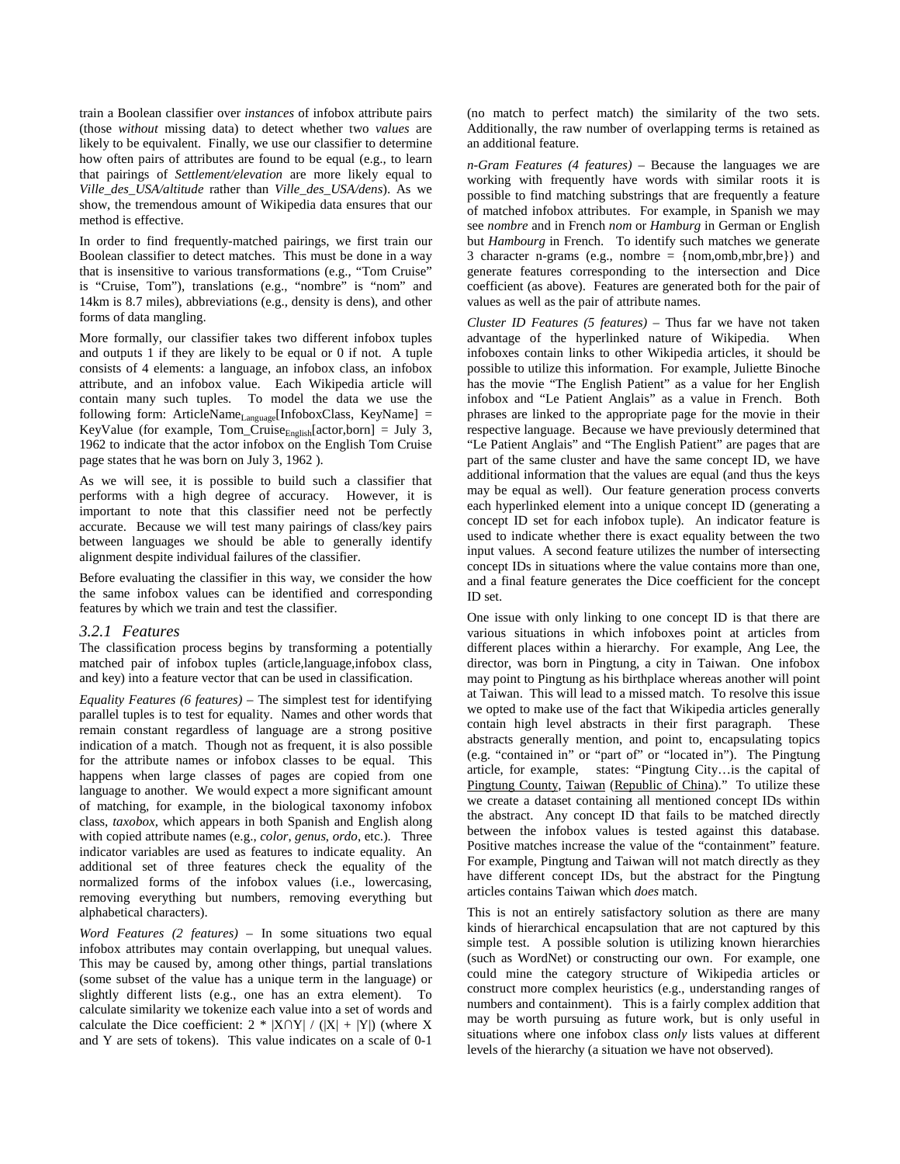train a Boolean classifier over *instances* of infobox attribute pairs (those *without* missing data) to detect whether two *values* are likely to be equivalent. Finally, we use our classifier to determine how often pairs of attributes are found to be equal (e.g., to learn that pairings of *Settlement/elevation* are more likely equal to *Ville\_des\_USA/altitude* rather than *Ville\_des\_USA/dens*). As we show, the tremendous amount of Wikipedia data ensures that our method is effective.

In order to find frequently-matched pairings, we first train our Boolean classifier to detect matches. This must be done in a way that is insensitive to various transformations (e.g., "Tom Cruise" is "Cruise, Tom"), translations (e.g., "nombre" is "nom" and 14km is 8.7 miles), abbreviations (e.g., density is dens), and other forms of data mangling.

More formally, our classifier takes two different infobox tuples and outputs 1 if they are likely to be equal or 0 if not. A tuple consists of 4 elements: a language, an infobox class, an infobox attribute, and an infobox value. Each Wikipedia article will contain many such tuples. To model the data we use the following form: ArticleName<sub>Language</sub>[InfoboxClass, KeyName] = KeyValue (for example, Tom\_Cruise<sub>English</sub>[actor,born] = July 3, 1962 to indicate that the actor infobox on the English Tom Cruise page states that he was born on July 3, 1962 ).

As we will see, it is possible to build such a classifier that performs with a high degree of accuracy. However, it is important to note that this classifier need not be perfectly accurate. Because we will test many pairings of class/key pairs between languages we should be able to generally identify alignment despite individual failures of the classifier.

Before evaluating the classifier in this way, we consider the how the same infobox values can be identified and corresponding features by which we train and test the classifier.

#### *3.2.1 Features*

The classification process begins by transforming a potentially matched pair of infobox tuples (article,language,infobox class, and key) into a feature vector that can be used in classification.

*Equality Features (6 features)* – The simplest test for identifying parallel tuples is to test for equality. Names and other words that remain constant regardless of language are a strong positive indication of a match. Though not as frequent, it is also possible for the attribute names or infobox classes to be equal. This happens when large classes of pages are copied from one language to another. We would expect a more significant amount of matching, for example, in the biological taxonomy infobox class, *taxobox*, which appears in both Spanish and English along with copied attribute names (e.g., *color*, *genus*, *ordo*, etc.). Three indicator variables are used as features to indicate equality. An additional set of three features check the equality of the normalized forms of the infobox values (i.e., lowercasing, removing everything but numbers, removing everything but alphabetical characters).

*Word Features (2 features)* – In some situations two equal infobox attributes may contain overlapping, but unequal values. This may be caused by, among other things, partial translations (some subset of the value has a unique term in the language) or slightly different lists (e.g., one has an extra element). To calculate similarity we tokenize each value into a set of words and calculate the Dice coefficient: 2 \* |X∩Y| / (|X| + |Y|) (where X and Y are sets of tokens). This value indicates on a scale of 0-1

(no match to perfect match) the similarity of the two sets. Additionally, the raw number of overlapping terms is retained as an additional feature.

*n-Gram Features (4 features)* – Because the languages we are working with frequently have words with similar roots it is possible to find matching substrings that are frequently a feature of matched infobox attributes. For example, in Spanish we may see *nombre* and in French *nom* or *Hamburg* in German or English but *Hambourg* in French. To identify such matches we generate 3 character n-grams (e.g., nombre =  ${non,omb,mbr,bre}$ ) and generate features corresponding to the intersection and Dice coefficient (as above). Features are generated both for the pair of values as well as the pair of attribute names.

*Cluster ID Features (5 features)* – Thus far we have not taken advantage of the hyperlinked nature of Wikipedia. When infoboxes contain links to other Wikipedia articles, it should be possible to utilize this information. For example, Juliette Binoche has the movie "The English Patient" as a value for her English infobox and "Le Patient Anglais" as a value in French. Both phrases are linked to the appropriate page for the movie in their respective language. Because we have previously determined that "Le Patient Anglais" and "The English Patient" are pages that are part of the same cluster and have the same concept ID, we have additional information that the values are equal (and thus the keys may be equal as well). Our feature generation process converts each hyperlinked element into a unique concept ID (generating a concept ID set for each infobox tuple). An indicator feature is used to indicate whether there is exact equality between the two input values. A second feature utilizes the number of intersecting concept IDs in situations where the value contains more than one, and a final feature generates the Dice coefficient for the concept ID set.

One issue with only linking to one concept ID is that there are various situations in which infoboxes point at articles from different places within a hierarchy. For example, Ang Lee, the director, was born in Pingtung, a city in Taiwan. One infobox may point to Pingtung as his birthplace whereas another will point at Taiwan. This will lead to a missed match. To resolve this issue we opted to make use of the fact that Wikipedia articles generally contain high level abstracts in their first paragraph. These abstracts generally mention, and point to, encapsulating topics (e.g. "contained in" or "part of" or "located in"). The Pingtung article, for example, states: "Pingtung City…is the capital of Pingtung County, Taiwan (Republic of China)." To utilize these we create a dataset containing all mentioned concept IDs within the abstract. Any concept ID that fails to be matched directly between the infobox values is tested against this database. Positive matches increase the value of the "containment" feature. For example, Pingtung and Taiwan will not match directly as they have different concept IDs, but the abstract for the Pingtung articles contains Taiwan which *does* match.

This is not an entirely satisfactory solution as there are many kinds of hierarchical encapsulation that are not captured by this simple test. A possible solution is utilizing known hierarchies (such as WordNet) or constructing our own. For example, one could mine the category structure of Wikipedia articles or construct more complex heuristics (e.g., understanding ranges of numbers and containment). This is a fairly complex addition that may be worth pursuing as future work, but is only useful in situations where one infobox class *only* lists values at different levels of the hierarchy (a situation we have not observed).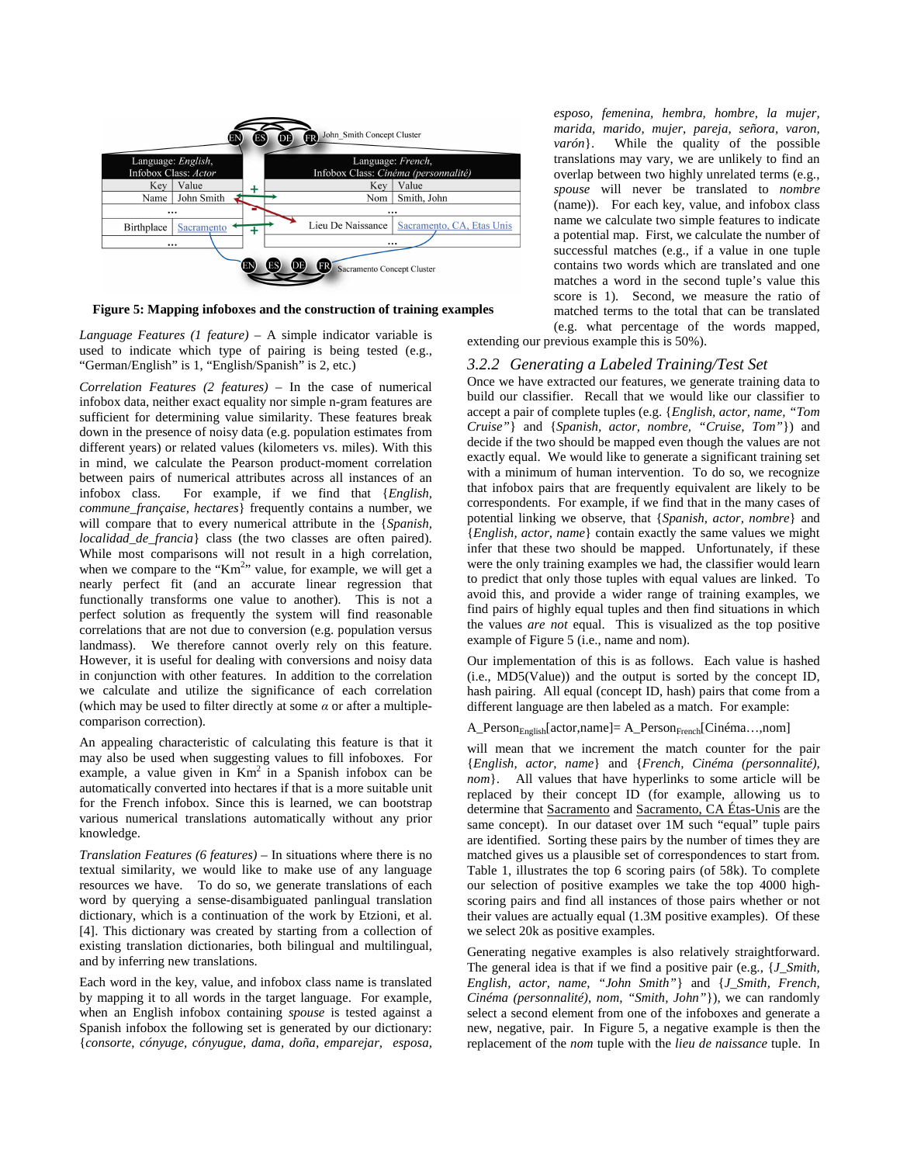

**Figure 5: Mapping infoboxes and the construction of training examples** 

*Language Features (1 feature)* – A simple indicator variable is used to indicate which type of pairing is being tested (e.g., "German/English" is 1, "English/Spanish" is 2, etc.)

*Correlation Features (2 features)* – In the case of numerical infobox data, neither exact equality nor simple n-gram features are sufficient for determining value similarity. These features break down in the presence of noisy data (e.g. population estimates from different years) or related values (kilometers vs. miles). With this in mind, we calculate the Pearson product-moment correlation between pairs of numerical attributes across all instances of an infobox class. For example, if we find that {*English, commune\_française, hectares*} frequently contains a number, we will compare that to every numerical attribute in the {*Spanish, localidad\_de\_francia*} class (the two classes are often paired). While most comparisons will not result in a high correlation, when we compare to the " $Km<sup>2</sup>$ " value, for example, we will get a nearly perfect fit (and an accurate linear regression that functionally transforms one value to another). This is not a perfect solution as frequently the system will find reasonable correlations that are not due to conversion (e.g. population versus landmass). We therefore cannot overly rely on this feature. However, it is useful for dealing with conversions and noisy data in conjunction with other features. In addition to the correlation we calculate and utilize the significance of each correlation (which may be used to filter directly at some  $\alpha$  or after a multiplecomparison correction).

An appealing characteristic of calculating this feature is that it may also be used when suggesting values to fill infoboxes. For example, a value given in  $Km^2$  in a Spanish infobox can be automatically converted into hectares if that is a more suitable unit for the French infobox. Since this is learned, we can bootstrap various numerical translations automatically without any prior knowledge.

*Translation Features (6 features)* – In situations where there is no textual similarity, we would like to make use of any language resources we have. To do so, we generate translations of each word by querying a sense-disambiguated panlingual translation dictionary, which is a continuation of the work by Etzioni, et al. [4]. This dictionary was created by starting from a collection of existing translation dictionaries, both bilingual and multilingual, and by inferring new translations.

Each word in the key, value, and infobox class name is translated by mapping it to all words in the target language. For example, when an English infobox containing *spouse* is tested against a Spanish infobox the following set is generated by our dictionary: {*consorte, cónyuge, cónyugue, dama, doña, emparejar, esposa,* 

*esposo, femenina, hembra, hombre, la mujer, marida, marido, mujer, pareja, señora, varon, varón*}. While the quality of the possible translations may vary, we are unlikely to find an overlap between two highly unrelated terms (e.g., *spouse* will never be translated to *nombre* (name)). For each key, value, and infobox class name we calculate two simple features to indicate a potential map. First, we calculate the number of successful matches (e.g., if a value in one tuple contains two words which are translated and one matches a word in the second tuple's value this score is 1). Second, we measure the ratio of matched terms to the total that can be translated (e.g. what percentage of the words mapped,

extending our previous example this is 50%).

#### *3.2.2 Generating a Labeled Training/Test Set*

Once we have extracted our features, we generate training data to build our classifier. Recall that we would like our classifier to accept a pair of complete tuples (e.g. {*English, actor, name, "Tom Cruise"*} and {*Spanish, actor, nombre, "Cruise, Tom"*}) and decide if the two should be mapped even though the values are not exactly equal. We would like to generate a significant training set with a minimum of human intervention. To do so, we recognize that infobox pairs that are frequently equivalent are likely to be correspondents. For example, if we find that in the many cases of potential linking we observe, that {*Spanish, actor, nombre*} and {*English, actor, name*} contain exactly the same values we might infer that these two should be mapped. Unfortunately, if these were the only training examples we had, the classifier would learn to predict that only those tuples with equal values are linked. To avoid this, and provide a wider range of training examples, we find pairs of highly equal tuples and then find situations in which the values *are not* equal. This is visualized as the top positive example of Figure 5 (i.e., name and nom).

Our implementation of this is as follows. Each value is hashed (i.e., MD5(Value)) and the output is sorted by the concept ID, hash pairing. All equal (concept ID, hash) pairs that come from a different language are then labeled as a match. For example:

A\_Person<sub>English</sub>[actor,name]= A\_Person<sub>French</sub>[Cinéma...,nom]

will mean that we increment the match counter for the pair {*English, actor, name*} and {*French, Cinéma (personnalité), nom*}. All values that have hyperlinks to some article will be replaced by their concept ID (for example, allowing us to determine that Sacramento and Sacramento, CA Étas-Unis are the same concept). In our dataset over 1M such "equal" tuple pairs are identified. Sorting these pairs by the number of times they are matched gives us a plausible set of correspondences to start from. Table 1, illustrates the top 6 scoring pairs (of 58k). To complete our selection of positive examples we take the top 4000 highscoring pairs and find all instances of those pairs whether or not their values are actually equal (1.3M positive examples). Of these we select 20k as positive examples.

Generating negative examples is also relatively straightforward. The general idea is that if we find a positive pair (e.g., {*J\_Smith, English, actor, name, "John Smith"*} and {*J\_Smith, French, Cinéma (personnalité), nom, "Smith, John"*}), we can randomly select a second element from one of the infoboxes and generate a new, negative, pair. In Figure 5, a negative example is then the replacement of the *nom* tuple with the *lieu de naissance* tuple. In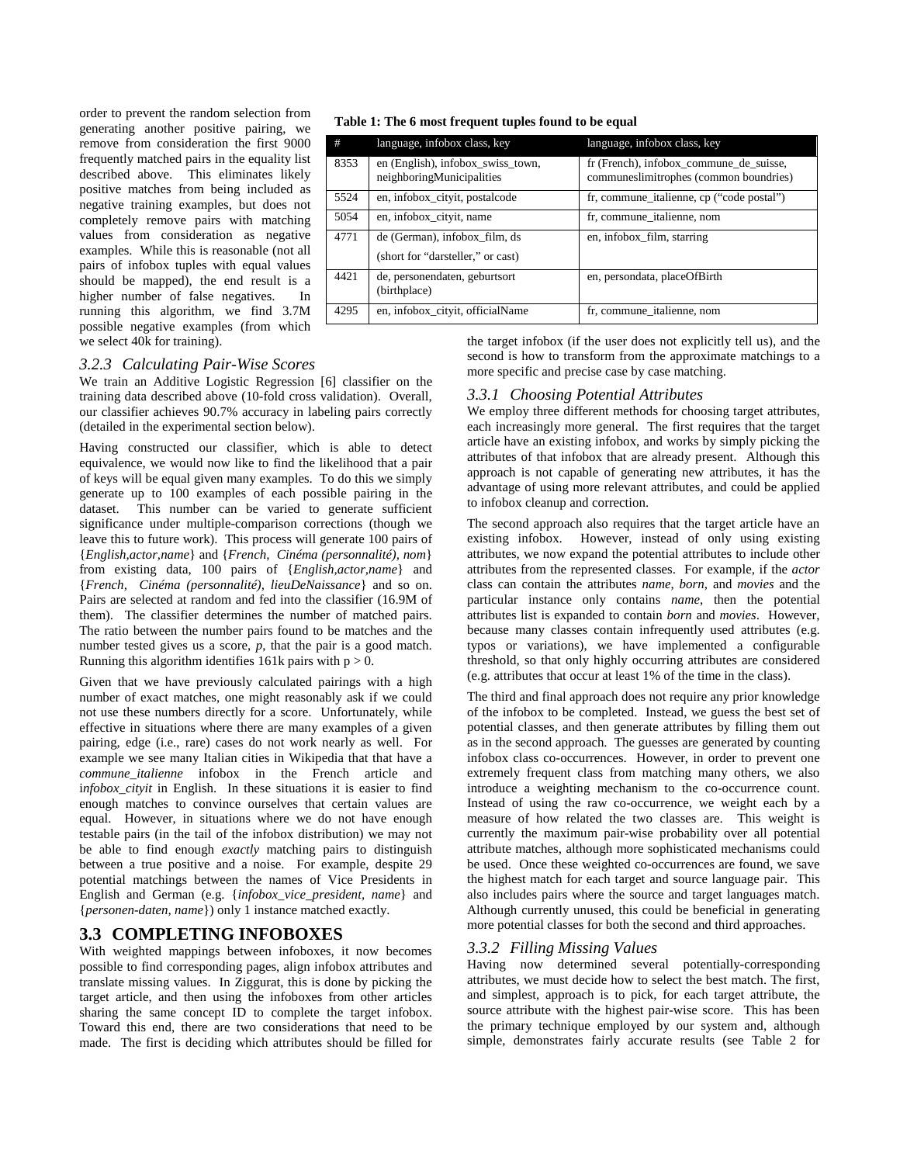order to prevent the random selection from generating another positive pairing, we remove from consideration the first 9000 frequently matched pairs in the equality list described above. This eliminates likely positive matches from being included as negative training examples, but does not completely remove pairs with matching values from consideration as negative examples. While this is reasonable (not all pairs of infobox tuples with equal values should be mapped), the end result is a higher number of false negatives. In running this algorithm, we find 3.7M possible negative examples (from which we select 40k for training).

#### *3.2.3 Calculating Pair-Wise Scores*

We train an Additive Logistic Regression [6] classifier on the training data described above (10-fold cross validation). Overall, our classifier achieves 90.7% accuracy in labeling pairs correctly (detailed in the experimental section below).

Having constructed our classifier, which is able to detect equivalence, we would now like to find the likelihood that a pair of keys will be equal given many examples. To do this we simply generate up to 100 examples of each possible pairing in the dataset. This number can be varied to generate sufficient significance under multiple-comparison corrections (though we leave this to future work). This process will generate 100 pairs of {*English,actor,name*} and {*French, Cinéma (personnalité), nom*} from existing data, 100 pairs of {*English,actor,name*} and {*French, Cinéma (personnalité), lieuDeNaissance*} and so on. Pairs are selected at random and fed into the classifier (16.9M of them). The classifier determines the number of matched pairs. The ratio between the number pairs found to be matches and the number tested gives us a score, *p*, that the pair is a good match. Running this algorithm identifies 161k pairs with  $p > 0$ .

Given that we have previously calculated pairings with a high number of exact matches, one might reasonably ask if we could not use these numbers directly for a score. Unfortunately, while effective in situations where there are many examples of a given pairing, edge (i.e., rare) cases do not work nearly as well. For example we see many Italian cities in Wikipedia that that have a *commune\_italienne* infobox in the French article and i*nfobox\_cityit* in English. In these situations it is easier to find enough matches to convince ourselves that certain values are equal. However, in situations where we do not have enough testable pairs (in the tail of the infobox distribution) we may not be able to find enough *exactly* matching pairs to distinguish between a true positive and a noise. For example, despite 29 potential matchings between the names of Vice Presidents in English and German (e.g. {*infobox\_vice\_president, name*} and {*personen-daten, name*}) only 1 instance matched exactly.

# **3.3 COMPLETING INFOBOXES**

With weighted mappings between infoboxes, it now becomes possible to find corresponding pages, align infobox attributes and translate missing values. In Ziggurat, this is done by picking the target article, and then using the infoboxes from other articles sharing the same concept ID to complete the target infobox. Toward this end, there are two considerations that need to be made. The first is deciding which attributes should be filled for

| #    | language, infobox class, key                                       | language, infobox class, key                                                      |  |
|------|--------------------------------------------------------------------|-----------------------------------------------------------------------------------|--|
| 8353 | en (English), infobox_swiss_town,<br>neighboringMunicipalities     | fr (French), infobox commune de suisse,<br>communeslimitrophes (common boundries) |  |
| 5524 | en, infobox cityit, postalcode                                     | fr, commune_italienne, cp ("code postal")                                         |  |
| 5054 | en, infobox cityit, name                                           | fr, commune italienne, nom                                                        |  |
| 4771 | de (German), infobox film, ds<br>(short for "darsteller," or cast) | en, infobox film, starring                                                        |  |
| 4421 | de, personendaten, geburtsort<br>(birthplace)                      | en, persondata, placeOfBirth                                                      |  |
| 4295 | en, infobox_cityit, officialName                                   | fr, commune_italienne, nom                                                        |  |

**Table 1: The 6 most frequent tuples found to be equal** 

the target infobox (if the user does not explicitly tell us), and the second is how to transform from the approximate matchings to a more specific and precise case by case matching.

### *3.3.1 Choosing Potential Attributes*

We employ three different methods for choosing target attributes, each increasingly more general. The first requires that the target article have an existing infobox, and works by simply picking the attributes of that infobox that are already present. Although this approach is not capable of generating new attributes, it has the advantage of using more relevant attributes, and could be applied to infobox cleanup and correction.

The second approach also requires that the target article have an existing infobox. However, instead of only using existing attributes, we now expand the potential attributes to include other attributes from the represented classes. For example, if the *actor* class can contain the attributes *name*, *born*, and *movies* and the particular instance only contains *name*, then the potential attributes list is expanded to contain *born* and *movies*. However, because many classes contain infrequently used attributes (e.g. typos or variations), we have implemented a configurable threshold, so that only highly occurring attributes are considered (e.g. attributes that occur at least 1% of the time in the class).

The third and final approach does not require any prior knowledge of the infobox to be completed. Instead, we guess the best set of potential classes, and then generate attributes by filling them out as in the second approach. The guesses are generated by counting infobox class co-occurrences. However, in order to prevent one extremely frequent class from matching many others, we also introduce a weighting mechanism to the co-occurrence count. Instead of using the raw co-occurrence, we weight each by a measure of how related the two classes are. This weight is currently the maximum pair-wise probability over all potential attribute matches, although more sophisticated mechanisms could be used. Once these weighted co-occurrences are found, we save the highest match for each target and source language pair. This also includes pairs where the source and target languages match. Although currently unused, this could be beneficial in generating more potential classes for both the second and third approaches.

#### *3.3.2 Filling Missing Values*

Having now determined several potentially-corresponding attributes, we must decide how to select the best match. The first, and simplest, approach is to pick, for each target attribute, the source attribute with the highest pair-wise score. This has been the primary technique employed by our system and, although simple, demonstrates fairly accurate results (see Table 2 for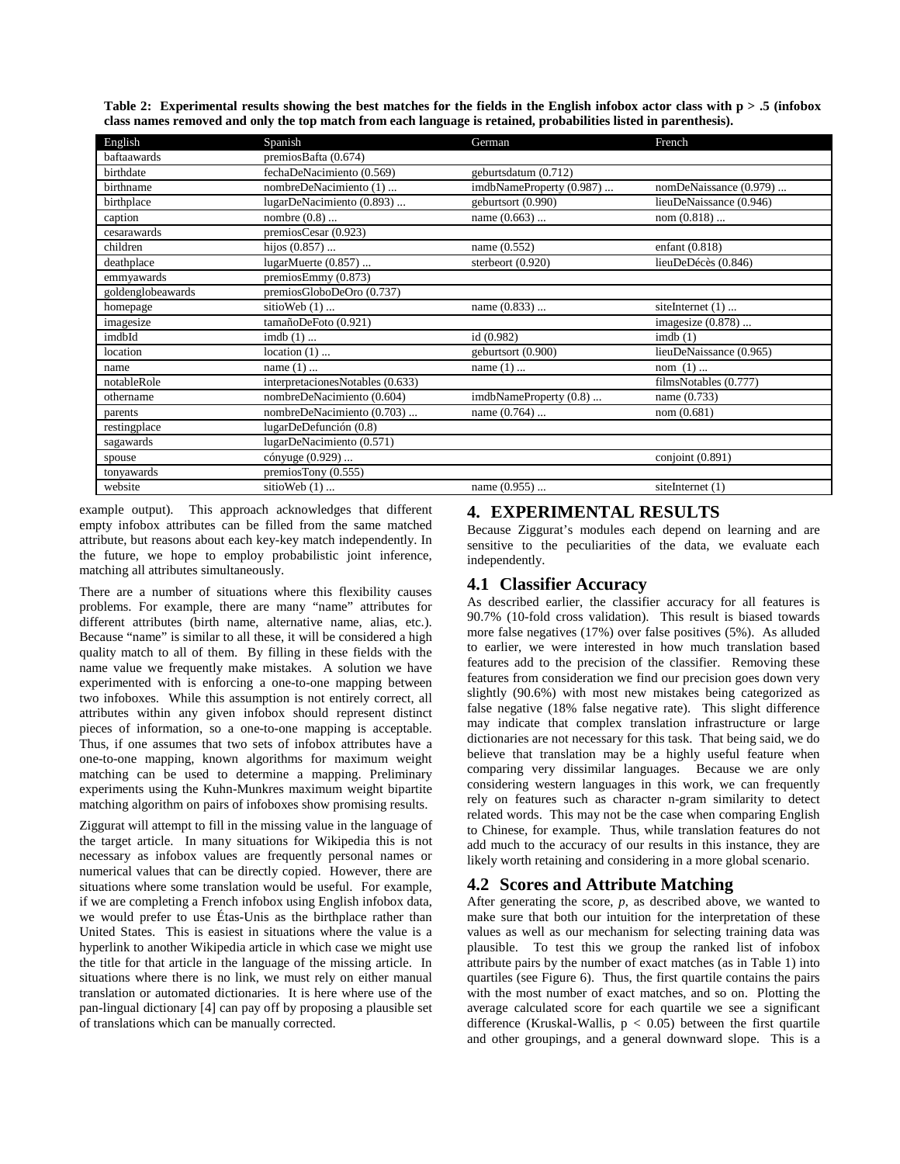| English           | Spanish                          | German                   | French                  |
|-------------------|----------------------------------|--------------------------|-------------------------|
| baftaawards       | premiosBafta (0.674)             |                          |                         |
| birthdate         | fechaDeNacimiento (0.569)        | geburtsdatum (0.712)     |                         |
| birthname         | nombreDeNacimiento (1)           | imdbNameProperty (0.987) | nomDeNaissance (0.979)  |
| birthplace        | lugarDeNacimiento (0.893)        | geburtsort (0.990)       | lieuDeNaissance (0.946) |
| caption           | nombre $(0.8)$                   | name (0.663)             | nom $(0.818)$           |
| cesarawards       | premiosCesar (0.923)             |                          |                         |
| children          | hijos $(0.857)$                  | name (0.552)             | enfant $(0.818)$        |
| deathplace        | lugarMuerte (0.857)              | sterbeort (0.920)        | lieuDeDécès (0.846)     |
| emmyawards        | premiosEmmy (0.873)              |                          |                         |
| goldenglobeawards | premiosGloboDeOro (0.737)        |                          |                         |
| homepage          | sitioWeb $(1)$                   | name (0.833)             | siteInternet (1)        |
| imagesize         | tamañoDeFoto (0.921)             |                          | imagesize $(0.878)$     |
| imdbId            | imdb $(1)$                       | id (0.982)               | imdb(1)                 |
| location          | $location(1) \dots$              | geburtsort (0.900)       | lieuDeNaissance (0.965) |
| name              | name $(1)$                       | name $(1)$               | nom $(1)$               |
| notableRole       | interpretacionesNotables (0.633) |                          | filmsNotables (0.777)   |
| othername         | nombreDeNacimiento (0.604)       | imdbNameProperty (0.8)   | name (0.733)            |
| parents           | nombreDeNacimiento (0.703)       | name (0.764)             | nom(0.681)              |
| restingplace      | lugarDeDefunción (0.8)           |                          |                         |
| sagawards         | lugarDeNacimiento (0.571)        |                          |                         |
| spouse            | cónyuge (0.929)                  |                          | conjoint $(0.891)$      |
| tonyawards        | premiosTony (0.555)              |                          |                         |
| website           | sitioWeb $(1)$                   | name (0.955)             | siteInternet (1)        |

**Table 2: Experimental results showing the best matches for the fields in the English infobox actor class with p > .5 (infobox class names removed and only the top match from each language is retained, probabilities listed in parenthesis).** 

example output). This approach acknowledges that different empty infobox attributes can be filled from the same matched attribute, but reasons about each key-key match independently. In the future, we hope to employ probabilistic joint inference, matching all attributes simultaneously.

There are a number of situations where this flexibility causes problems. For example, there are many "name" attributes for different attributes (birth name, alternative name, alias, etc.). Because "name" is similar to all these, it will be considered a high quality match to all of them. By filling in these fields with the name value we frequently make mistakes. A solution we have experimented with is enforcing a one-to-one mapping between two infoboxes. While this assumption is not entirely correct, all attributes within any given infobox should represent distinct pieces of information, so a one-to-one mapping is acceptable. Thus, if one assumes that two sets of infobox attributes have a one-to-one mapping, known algorithms for maximum weight matching can be used to determine a mapping. Preliminary experiments using the Kuhn-Munkres maximum weight bipartite matching algorithm on pairs of infoboxes show promising results.

Ziggurat will attempt to fill in the missing value in the language of the target article. In many situations for Wikipedia this is not necessary as infobox values are frequently personal names or numerical values that can be directly copied. However, there are situations where some translation would be useful. For example, if we are completing a French infobox using English infobox data, we would prefer to use Étas-Unis as the birthplace rather than United States. This is easiest in situations where the value is a hyperlink to another Wikipedia article in which case we might use the title for that article in the language of the missing article. In situations where there is no link, we must rely on either manual translation or automated dictionaries. It is here where use of the pan-lingual dictionary [4] can pay off by proposing a plausible set of translations which can be manually corrected.

# **4. EXPERIMENTAL RESULTS**

Because Ziggurat's modules each depend on learning and are sensitive to the peculiarities of the data, we evaluate each independently.

# **4.1 Classifier Accuracy**

As described earlier, the classifier accuracy for all features is 90.7% (10-fold cross validation). This result is biased towards more false negatives (17%) over false positives (5%). As alluded to earlier, we were interested in how much translation based features add to the precision of the classifier. Removing these features from consideration we find our precision goes down very slightly (90.6%) with most new mistakes being categorized as false negative (18% false negative rate). This slight difference may indicate that complex translation infrastructure or large dictionaries are not necessary for this task. That being said, we do believe that translation may be a highly useful feature when comparing very dissimilar languages. Because we are only considering western languages in this work, we can frequently rely on features such as character n-gram similarity to detect related words. This may not be the case when comparing English to Chinese, for example. Thus, while translation features do not add much to the accuracy of our results in this instance, they are likely worth retaining and considering in a more global scenario.

# **4.2 Scores and Attribute Matching**

After generating the score, *p*, as described above, we wanted to make sure that both our intuition for the interpretation of these values as well as our mechanism for selecting training data was plausible. To test this we group the ranked list of infobox attribute pairs by the number of exact matches (as in Table 1) into quartiles (see Figure 6). Thus, the first quartile contains the pairs with the most number of exact matches, and so on. Plotting the average calculated score for each quartile we see a significant difference (Kruskal-Wallis,  $p < 0.05$ ) between the first quartile and other groupings, and a general downward slope. This is a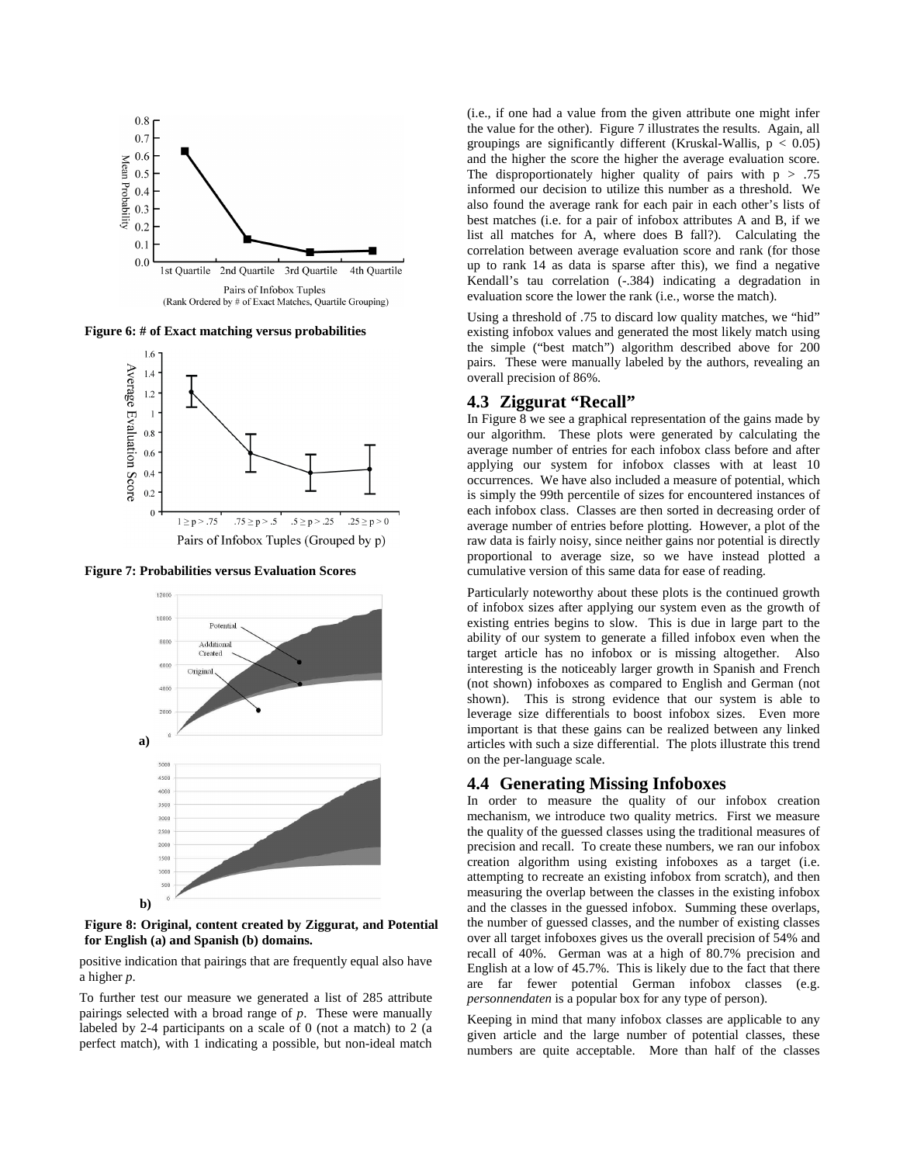

**Figure 6: # of Exact matching versus probabilities** 



**Figure 7: Probabilities versus Evaluation Scores** 



**Figure 8: Original, content created by Ziggurat, and Potential for English (a) and Spanish (b) domains.** 

positive indication that pairings that are frequently equal also have a higher *p*.

To further test our measure we generated a list of 285 attribute pairings selected with a broad range of *p*. These were manually labeled by 2-4 participants on a scale of 0 (not a match) to 2 (a perfect match), with 1 indicating a possible, but non-ideal match (i.e., if one had a value from the given attribute one might infer the value for the other). Figure 7 illustrates the results. Again, all groupings are significantly different (Kruskal-Wallis,  $p < 0.05$ ) and the higher the score the higher the average evaluation score. The disproportionately higher quality of pairs with  $p > .75$ informed our decision to utilize this number as a threshold. We also found the average rank for each pair in each other's lists of best matches (i.e. for a pair of infobox attributes A and B, if we list all matches for A, where does B fall?). Calculating the correlation between average evaluation score and rank (for those up to rank 14 as data is sparse after this), we find a negative Kendall's tau correlation (-.384) indicating a degradation in evaluation score the lower the rank (i.e., worse the match).

Using a threshold of .75 to discard low quality matches, we "hid" existing infobox values and generated the most likely match using the simple ("best match") algorithm described above for 200 pairs. These were manually labeled by the authors, revealing an overall precision of 86%.

#### **4.3 Ziggurat "Recall"**

In Figure 8 we see a graphical representation of the gains made by our algorithm. These plots were generated by calculating the average number of entries for each infobox class before and after applying our system for infobox classes with at least 10 occurrences. We have also included a measure of potential, which is simply the 99th percentile of sizes for encountered instances of each infobox class. Classes are then sorted in decreasing order of average number of entries before plotting. However, a plot of the raw data is fairly noisy, since neither gains nor potential is directly proportional to average size, so we have instead plotted a cumulative version of this same data for ease of reading.

Particularly noteworthy about these plots is the continued growth of infobox sizes after applying our system even as the growth of existing entries begins to slow. This is due in large part to the ability of our system to generate a filled infobox even when the target article has no infobox or is missing altogether. Also interesting is the noticeably larger growth in Spanish and French (not shown) infoboxes as compared to English and German (not shown). This is strong evidence that our system is able to leverage size differentials to boost infobox sizes. Even more important is that these gains can be realized between any linked articles with such a size differential. The plots illustrate this trend on the per-language scale.

### **4.4 Generating Missing Infoboxes**

In order to measure the quality of our infobox creation mechanism, we introduce two quality metrics. First we measure the quality of the guessed classes using the traditional measures of precision and recall. To create these numbers, we ran our infobox creation algorithm using existing infoboxes as a target (i.e. attempting to recreate an existing infobox from scratch), and then measuring the overlap between the classes in the existing infobox and the classes in the guessed infobox. Summing these overlaps, the number of guessed classes, and the number of existing classes over all target infoboxes gives us the overall precision of 54% and recall of 40%. German was at a high of 80.7% precision and English at a low of 45.7%. This is likely due to the fact that there are far fewer potential German infobox classes (e.g. *personnendaten* is a popular box for any type of person).

Keeping in mind that many infobox classes are applicable to any given article and the large number of potential classes, these numbers are quite acceptable. More than half of the classes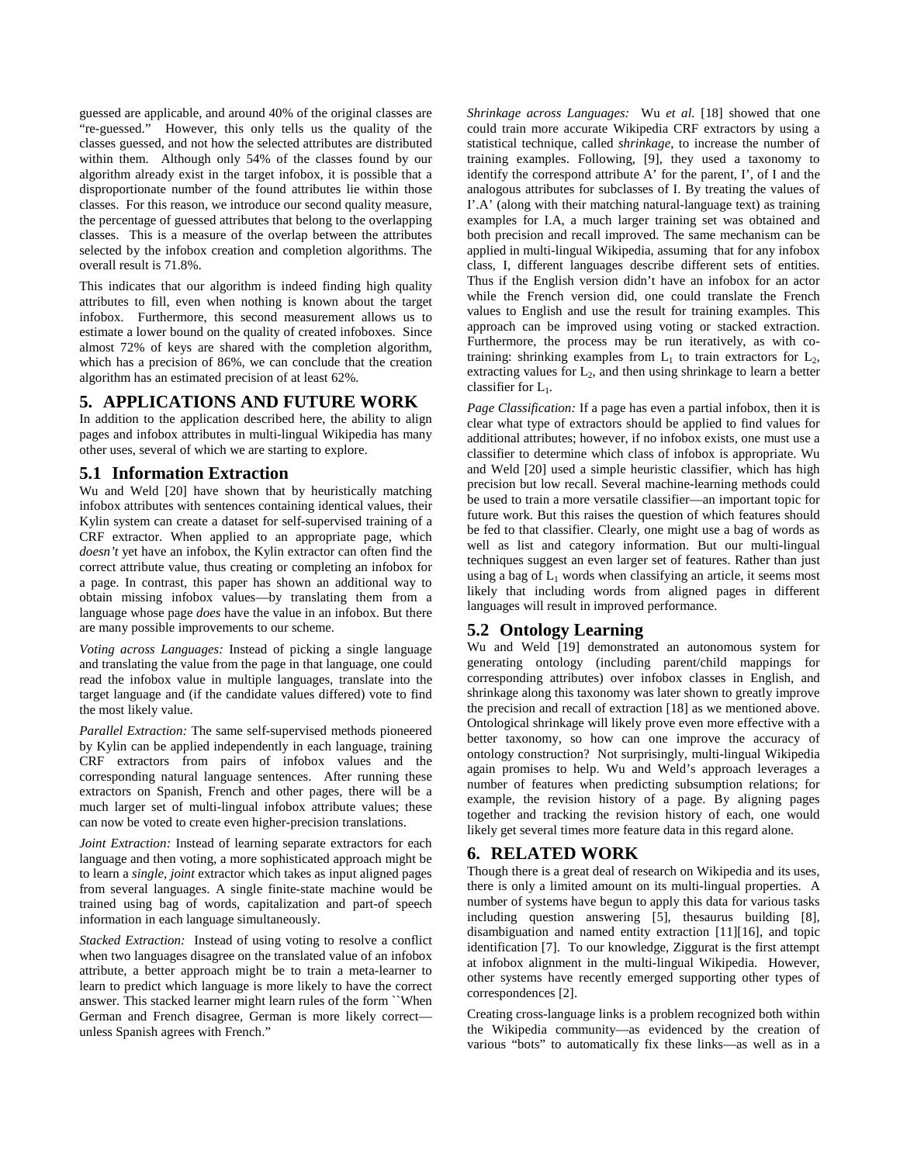guessed are applicable, and around 40% of the original classes are "re-guessed." However, this only tells us the quality of the classes guessed, and not how the selected attributes are distributed within them. Although only 54% of the classes found by our algorithm already exist in the target infobox, it is possible that a disproportionate number of the found attributes lie within those classes. For this reason, we introduce our second quality measure, the percentage of guessed attributes that belong to the overlapping classes. This is a measure of the overlap between the attributes selected by the infobox creation and completion algorithms. The overall result is 71.8%.

This indicates that our algorithm is indeed finding high quality attributes to fill, even when nothing is known about the target infobox. Furthermore, this second measurement allows us to estimate a lower bound on the quality of created infoboxes. Since almost 72% of keys are shared with the completion algorithm, which has a precision of 86%, we can conclude that the creation algorithm has an estimated precision of at least 62%.

# **5. APPLICATIONS AND FUTURE WORK**

In addition to the application described here, the ability to align pages and infobox attributes in multi-lingual Wikipedia has many other uses, several of which we are starting to explore.

# **5.1 Information Extraction**

Wu and Weld [20] have shown that by heuristically matching infobox attributes with sentences containing identical values, their Kylin system can create a dataset for self-supervised training of a CRF extractor. When applied to an appropriate page, which *doesn't* yet have an infobox, the Kylin extractor can often find the correct attribute value, thus creating or completing an infobox for a page. In contrast, this paper has shown an additional way to obtain missing infobox values—by translating them from a language whose page *does* have the value in an infobox. But there are many possible improvements to our scheme.

*Voting across Languages:* Instead of picking a single language and translating the value from the page in that language, one could read the infobox value in multiple languages, translate into the target language and (if the candidate values differed) vote to find the most likely value.

*Parallel Extraction:* The same self-supervised methods pioneered by Kylin can be applied independently in each language, training CRF extractors from pairs of infobox values and the corresponding natural language sentences. After running these extractors on Spanish, French and other pages, there will be a much larger set of multi-lingual infobox attribute values; these can now be voted to create even higher-precision translations.

*Joint Extraction:* Instead of learning separate extractors for each language and then voting, a more sophisticated approach might be to learn a *single, joint* extractor which takes as input aligned pages from several languages. A single finite-state machine would be trained using bag of words, capitalization and part-of speech information in each language simultaneously.

*Stacked Extraction:* Instead of using voting to resolve a conflict when two languages disagree on the translated value of an infobox attribute, a better approach might be to train a meta-learner to learn to predict which language is more likely to have the correct answer. This stacked learner might learn rules of the form ``When German and French disagree, German is more likely correct unless Spanish agrees with French."

*Shrinkage across Languages:* Wu *et al.* [18] showed that one could train more accurate Wikipedia CRF extractors by using a statistical technique, called *shrinkage*, to increase the number of training examples. Following, [9], they used a taxonomy to identify the correspond attribute A' for the parent, I', of I and the analogous attributes for subclasses of I. By treating the values of I'.A' (along with their matching natural-language text) as training examples for I.A, a much larger training set was obtained and both precision and recall improved. The same mechanism can be applied in multi-lingual Wikipedia, assuming that for any infobox class, I, different languages describe different sets of entities. Thus if the English version didn't have an infobox for an actor while the French version did, one could translate the French values to English and use the result for training examples. This approach can be improved using voting or stacked extraction. Furthermore, the process may be run iteratively, as with cotraining: shrinking examples from  $L_1$  to train extractors for  $L_2$ , extracting values for  $L_2$ , and then using shrinkage to learn a better classifier for  $L_1$ .

*Page Classification:* If a page has even a partial infobox, then it is clear what type of extractors should be applied to find values for additional attributes; however, if no infobox exists, one must use a classifier to determine which class of infobox is appropriate. Wu and Weld [20] used a simple heuristic classifier, which has high precision but low recall. Several machine-learning methods could be used to train a more versatile classifier—an important topic for future work. But this raises the question of which features should be fed to that classifier. Clearly, one might use a bag of words as well as list and category information. But our multi-lingual techniques suggest an even larger set of features. Rather than just using a bag of  $L_1$  words when classifying an article, it seems most likely that including words from aligned pages in different languages will result in improved performance.

# **5.2 Ontology Learning**

Wu and Weld [19] demonstrated an autonomous system for generating ontology (including parent/child mappings for corresponding attributes) over infobox classes in English, and shrinkage along this taxonomy was later shown to greatly improve the precision and recall of extraction [18] as we mentioned above. Ontological shrinkage will likely prove even more effective with a better taxonomy, so how can one improve the accuracy of ontology construction? Not surprisingly, multi-lingual Wikipedia again promises to help. Wu and Weld's approach leverages a number of features when predicting subsumption relations; for example, the revision history of a page. By aligning pages together and tracking the revision history of each, one would likely get several times more feature data in this regard alone.

# **6. RELATED WORK**

Though there is a great deal of research on Wikipedia and its uses, there is only a limited amount on its multi-lingual properties. A number of systems have begun to apply this data for various tasks including question answering [5], thesaurus building [8], disambiguation and named entity extraction [11][16], and topic identification [7]. To our knowledge, Ziggurat is the first attempt at infobox alignment in the multi-lingual Wikipedia. However, other systems have recently emerged supporting other types of correspondences [2].

Creating cross-language links is a problem recognized both within the Wikipedia community—as evidenced by the creation of various "bots" to automatically fix these links—as well as in a